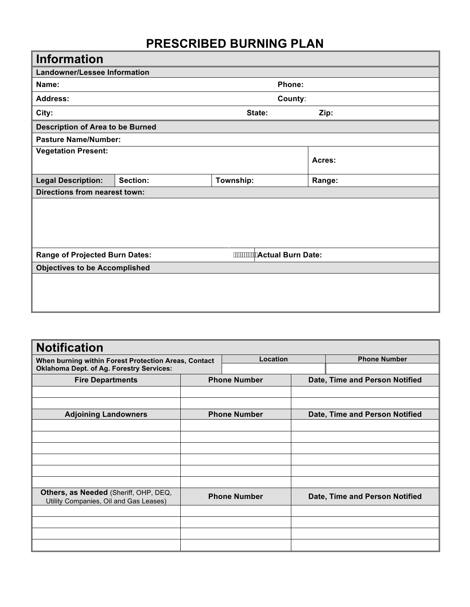# **PRESCRIBED BURNING PLAN**

| <b>Information</b>                                                     |          |           |         |        |  |  |
|------------------------------------------------------------------------|----------|-----------|---------|--------|--|--|
| <b>Landowner/Lessee Information</b>                                    |          |           |         |        |  |  |
| Name:                                                                  |          |           | Phone:  |        |  |  |
| <b>Address:</b>                                                        |          |           | County: |        |  |  |
| City:                                                                  |          |           | State:  | Zip:   |  |  |
| <b>Description of Area to be Burned</b>                                |          |           |         |        |  |  |
| <b>Pasture Name/Number:</b>                                            |          |           |         |        |  |  |
| <b>Vegetation Present:</b>                                             |          |           |         | Acres: |  |  |
| <b>Legal Description:</b>                                              | Section: | Township: |         | Range: |  |  |
| <b>Directions from nearest town:</b>                                   |          |           |         |        |  |  |
|                                                                        |          |           |         |        |  |  |
| $\cdots$<br>Actual Burn Date:<br><b>Range of Projected Burn Dates:</b> |          |           |         |        |  |  |
| <b>Objectives to be Accomplished</b>                                   |          |           |         |        |  |  |
|                                                                        |          |           |         |        |  |  |

| <b>Notification</b>                                                                                     |                     |                     |                                |
|---------------------------------------------------------------------------------------------------------|---------------------|---------------------|--------------------------------|
| When burning within Forest Protection Areas, Contact<br><b>Oklahoma Dept. of Ag. Forestry Services:</b> |                     | Location            | <b>Phone Number</b>            |
| <b>Fire Departments</b>                                                                                 | <b>Phone Number</b> |                     | Date, Time and Person Notified |
|                                                                                                         |                     |                     |                                |
|                                                                                                         |                     |                     |                                |
| <b>Adjoining Landowners</b>                                                                             |                     | <b>Phone Number</b> | Date, Time and Person Notified |
|                                                                                                         |                     |                     |                                |
|                                                                                                         |                     |                     |                                |
|                                                                                                         |                     |                     |                                |
|                                                                                                         |                     |                     |                                |
|                                                                                                         |                     |                     |                                |
| Others, as Needed (Sheriff, OHP, DEQ,<br>Utility Companies, Oil and Gas Leases)                         |                     | <b>Phone Number</b> | Date, Time and Person Notified |
|                                                                                                         |                     |                     |                                |
|                                                                                                         |                     |                     |                                |
|                                                                                                         |                     |                     |                                |
|                                                                                                         |                     |                     |                                |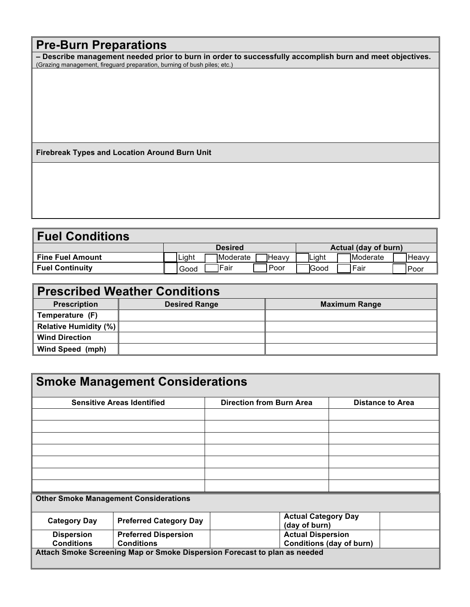# **Pre-Burn Preparations**

**– Describe management needed prior to burn in order to successfully accomplish burn and meet objectives.**  (Grazing management, fireguard preparation, burning of bush piles; etc.)

**Firebreak Types and Location Around Burn Unit** 

| <b>Fuel Conditions</b>  |       |                |        |       |                      |        |
|-------------------------|-------|----------------|--------|-------|----------------------|--------|
|                         |       | <b>Desired</b> |        |       | Actual (day of burn) |        |
| <b>Fine Fuel Amount</b> | Light | TModerate      | 1Heavv | Light | <b>IModerate</b>     | lHeavv |
| <b>Fuel Continuity</b>  | Good  | Fair           | Poor   | Good  | ⊦Fair                | l Poor |

| <b>Prescribed Weather Conditions</b> |                      |                      |  |  |  |  |  |
|--------------------------------------|----------------------|----------------------|--|--|--|--|--|
| <b>Prescription</b>                  | <b>Desired Range</b> | <b>Maximum Range</b> |  |  |  |  |  |
| Temperature (F)                      |                      |                      |  |  |  |  |  |
| Relative Humidity (%)                |                      |                      |  |  |  |  |  |
| <b>Wind Direction</b>                |                      |                      |  |  |  |  |  |
| Wind Speed (mph)                     |                      |                      |  |  |  |  |  |

| <b>Smoke Management Considerations</b> |                                                                           |                                 |                                             |                         |  |  |  |
|----------------------------------------|---------------------------------------------------------------------------|---------------------------------|---------------------------------------------|-------------------------|--|--|--|
|                                        | <b>Sensitive Areas Identified</b>                                         | <b>Direction from Burn Area</b> |                                             | <b>Distance to Area</b> |  |  |  |
|                                        |                                                                           |                                 |                                             |                         |  |  |  |
|                                        |                                                                           |                                 |                                             |                         |  |  |  |
|                                        |                                                                           |                                 |                                             |                         |  |  |  |
|                                        |                                                                           |                                 |                                             |                         |  |  |  |
|                                        |                                                                           |                                 |                                             |                         |  |  |  |
|                                        |                                                                           |                                 |                                             |                         |  |  |  |
|                                        |                                                                           |                                 |                                             |                         |  |  |  |
|                                        | <b>Other Smoke Management Considerations</b>                              |                                 |                                             |                         |  |  |  |
| <b>Category Day</b>                    | <b>Preferred Category Day</b>                                             |                                 | <b>Actual Category Day</b><br>(day of burn) |                         |  |  |  |
| <b>Dispersion</b>                      | <b>Preferred Dispersion</b>                                               |                                 | <b>Actual Dispersion</b>                    |                         |  |  |  |
| <b>Conditions</b><br><b>Conditions</b> |                                                                           |                                 | Conditions (day of burn)                    |                         |  |  |  |
|                                        | Attach Smoke Screening Map or Smoke Dispersion Forecast to plan as needed |                                 |                                             |                         |  |  |  |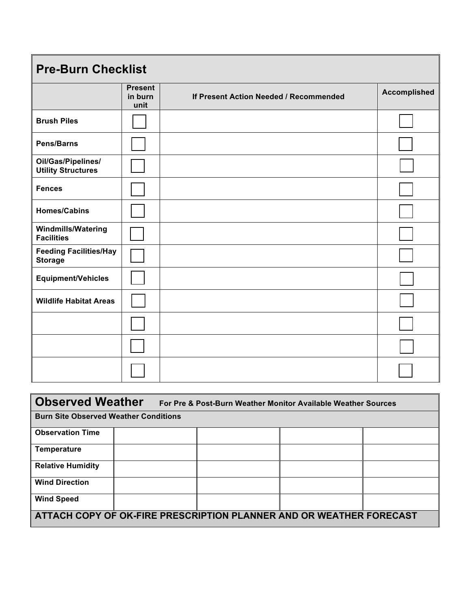| <b>Pre-Burn Checklist</b>                       |                                   |                                        |                     |  |  |  |
|-------------------------------------------------|-----------------------------------|----------------------------------------|---------------------|--|--|--|
|                                                 | <b>Present</b><br>in burn<br>unit | If Present Action Needed / Recommended | <b>Accomplished</b> |  |  |  |
| <b>Brush Piles</b>                              |                                   |                                        |                     |  |  |  |
| Pens/Barns                                      |                                   |                                        |                     |  |  |  |
| Oil/Gas/Pipelines/<br><b>Utility Structures</b> |                                   |                                        |                     |  |  |  |
| <b>Fences</b>                                   |                                   |                                        |                     |  |  |  |
| <b>Homes/Cabins</b>                             |                                   |                                        |                     |  |  |  |
| <b>Windmills/Watering</b><br><b>Facilities</b>  |                                   |                                        |                     |  |  |  |
| <b>Feeding Facilities/Hay</b><br><b>Storage</b> |                                   |                                        |                     |  |  |  |
| <b>Equipment/Vehicles</b>                       |                                   |                                        |                     |  |  |  |
| <b>Wildlife Habitat Areas</b>                   |                                   |                                        |                     |  |  |  |
|                                                 |                                   |                                        |                     |  |  |  |
|                                                 |                                   |                                        |                     |  |  |  |
|                                                 |                                   |                                        |                     |  |  |  |

| <b>Observed Weather</b>                                             |                                              | For Pre & Post-Burn Weather Monitor Available Weather Sources |  |  |  |  |  |
|---------------------------------------------------------------------|----------------------------------------------|---------------------------------------------------------------|--|--|--|--|--|
|                                                                     | <b>Burn Site Observed Weather Conditions</b> |                                                               |  |  |  |  |  |
| <b>Observation Time</b>                                             |                                              |                                                               |  |  |  |  |  |
| <b>Temperature</b>                                                  |                                              |                                                               |  |  |  |  |  |
| <b>Relative Humidity</b>                                            |                                              |                                                               |  |  |  |  |  |
| <b>Wind Direction</b>                                               |                                              |                                                               |  |  |  |  |  |
| <b>Wind Speed</b>                                                   |                                              |                                                               |  |  |  |  |  |
| ATTACH COPY OF OK-FIRE PRESCRIPTION PLANNER AND OR WEATHER FORECAST |                                              |                                                               |  |  |  |  |  |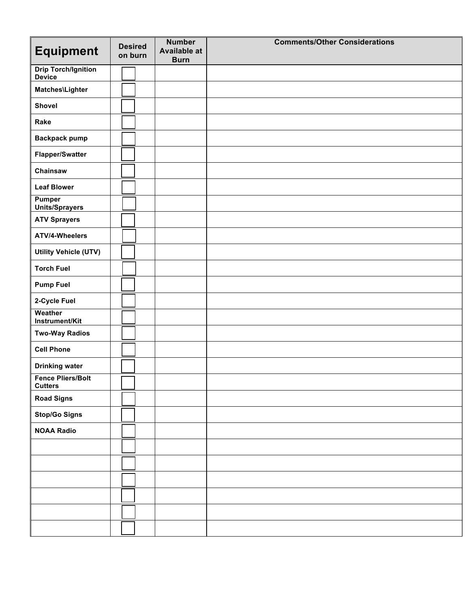| <b>Equipment</b>                            | <b>Desired</b><br>on burn | <b>Number</b><br><b>Available at</b><br><b>Burn</b> | <b>Comments/Other Considerations</b> |
|---------------------------------------------|---------------------------|-----------------------------------------------------|--------------------------------------|
| <b>Drip Torch/Ignition</b><br><b>Device</b> |                           |                                                     |                                      |
| Matches\Lighter                             |                           |                                                     |                                      |
| <b>Shovel</b>                               |                           |                                                     |                                      |
| Rake                                        |                           |                                                     |                                      |
| <b>Backpack pump</b>                        |                           |                                                     |                                      |
| Flapper/Swatter                             |                           |                                                     |                                      |
| Chainsaw                                    |                           |                                                     |                                      |
| <b>Leaf Blower</b>                          |                           |                                                     |                                      |
| <b>Pumper</b><br><b>Units/Sprayers</b>      |                           |                                                     |                                      |
| <b>ATV Sprayers</b>                         |                           |                                                     |                                      |
| ATV/4-Wheelers                              |                           |                                                     |                                      |
| <b>Utility Vehicle (UTV)</b>                |                           |                                                     |                                      |
| <b>Torch Fuel</b>                           |                           |                                                     |                                      |
| <b>Pump Fuel</b>                            |                           |                                                     |                                      |
| 2-Cycle Fuel                                |                           |                                                     |                                      |
| Weather<br>Instrument/Kit                   |                           |                                                     |                                      |
| <b>Two-Way Radios</b>                       |                           |                                                     |                                      |
| <b>Cell Phone</b>                           |                           |                                                     |                                      |
| <b>Drinking water</b>                       |                           |                                                     |                                      |
| <b>Fence Pliers/Bolt</b><br><b>Cutters</b>  |                           |                                                     |                                      |
| <b>Road Signs</b>                           |                           |                                                     |                                      |
| <b>Stop/Go Signs</b>                        |                           |                                                     |                                      |
| <b>NOAA Radio</b>                           |                           |                                                     |                                      |
|                                             |                           |                                                     |                                      |
|                                             |                           |                                                     |                                      |
|                                             |                           |                                                     |                                      |
|                                             |                           |                                                     |                                      |
|                                             |                           |                                                     |                                      |
|                                             |                           |                                                     |                                      |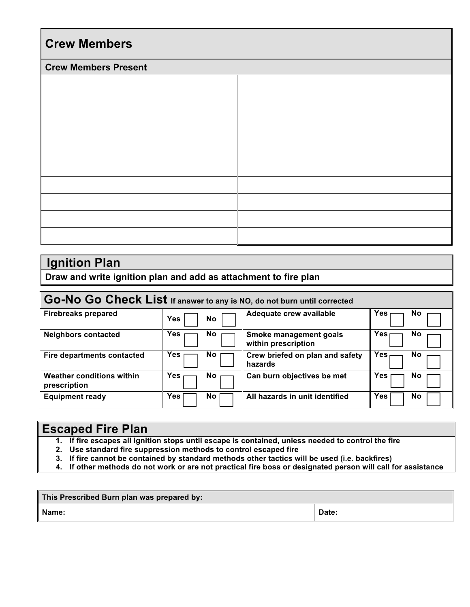| <b>Crew Members</b>         |  |  |  |  |  |  |
|-----------------------------|--|--|--|--|--|--|
| <b>Crew Members Present</b> |  |  |  |  |  |  |
|                             |  |  |  |  |  |  |
|                             |  |  |  |  |  |  |
|                             |  |  |  |  |  |  |
|                             |  |  |  |  |  |  |
|                             |  |  |  |  |  |  |
|                             |  |  |  |  |  |  |
|                             |  |  |  |  |  |  |
|                             |  |  |  |  |  |  |
|                             |  |  |  |  |  |  |
|                             |  |  |  |  |  |  |

### **Ignition Plan**

**Draw and write ignition plan and add as attachment to fire plan** 

| Go-No Go Check List If answer to any is NO, do not burn until corrected |                  |                                 |                  |  |  |  |
|-------------------------------------------------------------------------|------------------|---------------------------------|------------------|--|--|--|
| <b>Firebreaks prepared</b>                                              | <b>Yes</b><br>No | Adequate crew available         | No<br>res        |  |  |  |
| <b>Neighbors contacted</b>                                              | No.              | Smoke management goals          | No               |  |  |  |
|                                                                         | Yes              | within prescription             | Yes              |  |  |  |
| Fire departments contacted                                              | No.              | Crew briefed on plan and safety | Yes              |  |  |  |
|                                                                         | <b>Yes</b>       | hazards                         | No               |  |  |  |
| <b>Weather conditions within</b>                                        | Yes              | Can burn objectives be met      | No               |  |  |  |
| prescription                                                            | No.              |                                 | Yes              |  |  |  |
| <b>Equipment ready</b>                                                  | Yes<br>No.       | All hazards in unit identified  | Yes<br><b>No</b> |  |  |  |

### **Escaped Fire Plan**

- **1. If fire escapes all ignition stops until escape is contained, unless needed to control the fire**
- **2. Use standard fire suppression methods to control escaped fire**
- **3. If fire cannot be contained by standard methods other tactics will be used (i.e. backfires)**
- **4. If other methods do not work or are not practical fire boss or designated person will call for assistance**

| This Prescribed Burn plan was prepared by: |       |  |  |  |
|--------------------------------------------|-------|--|--|--|
| Name:                                      | Date: |  |  |  |